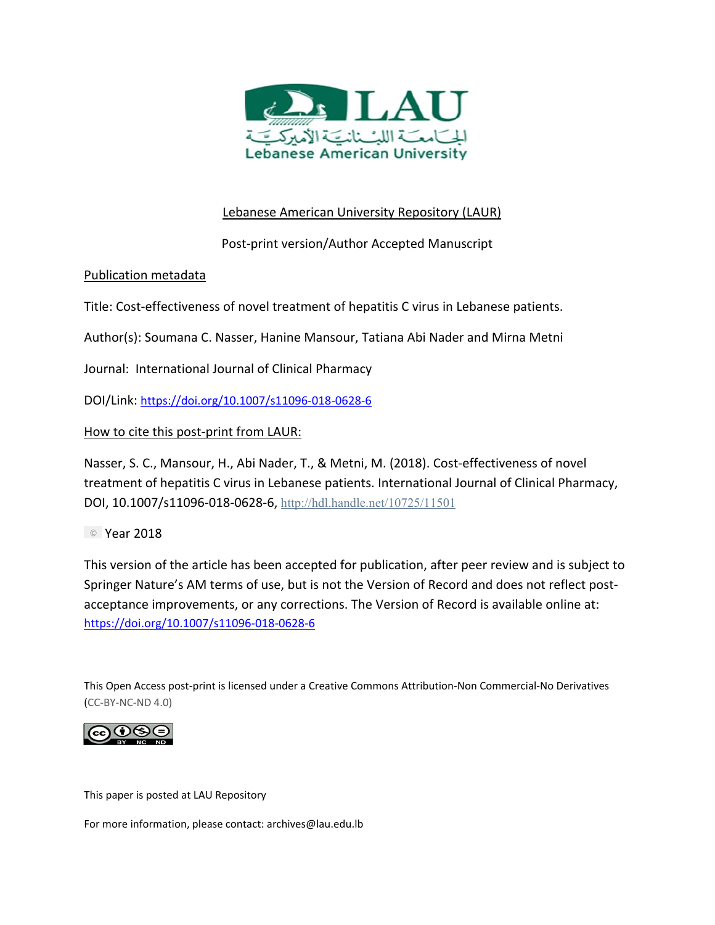

# Lebanese American University Repository (LAUR)

Post‐print version/Author Accepted Manuscript

# Publication metadata

Title: Cost-effectiveness of novel treatment of hepatitis C virus in Lebanese patients.

Author(s): Soumana C. Nasser, Hanine Mansour, Tatiana Abi Nader and Mirna Metni

Journal: International Journal of Clinical Pharmacy

DOI/Link: https://doi.org/10.1007/s11096‐018‐0628‐6

## How to cite this post‐print from LAUR:

Nasser, S. C., Mansour, H., Abi Nader, T., & Metni, M. (2018). Cost-effectiveness of novel treatment of hepatitis C virus in Lebanese patients. International Journal of Clinical Pharmacy, DOI, 10.1007/s11096‐018‐0628‐6, http://hdl.handle.net/10725/11501

**Example 7** Year 2018

This version of the article has been accepted for publication, after peer review and is subject to Springer Nature's AM terms of use, but is not the Version of Record and does not reflect post‐ acceptance improvements, or any corrections. The Version of Record is available online at: https://doi.org/10.1007/s11096‐018‐0628‐6

This Open Access post‐print is licensed under a Creative Commons Attribution‐Non Commercial‐No Derivatives (CC‐BY‐NC‐ND 4.0)



This paper is posted at LAU Repository

For more information, please contact: archives@lau.edu.lb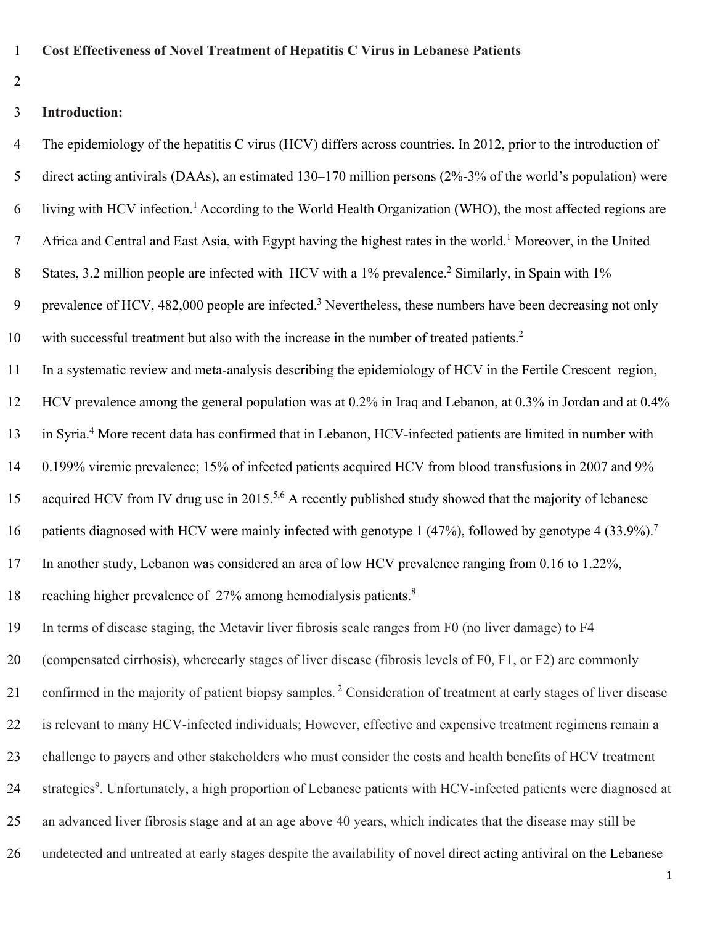2

## 3 **Introduction:**

4 The epidemiology of the hepatitis C virus (HCV) differs across countries. In 2012, prior to the introduction of 5 direct acting antivirals (DAAs), an estimated 130–170 million persons (2%-3% of the world's population) were 6 living with HCV infection.<sup>1</sup> According to the World Health Organization (WHO), the most affected regions are Africa and Central and East Asia, with Egypt having the highest rates in the world.<sup>1</sup> Moreover, in the United 8 States, 3.2 million people are infected with HCV with a 1% prevalence.<sup>2</sup> Similarly, in Spain with 1% 9 prevalence of HCV,  $482,000$  people are infected.<sup>3</sup> Nevertheless, these numbers have been decreasing not only 10 with successful treatment but also with the increase in the number of treated patients.<sup>2</sup> 11 In a systematic review and meta-analysis describing the epidemiology of HCV in the Fertile Crescent region, 12 HCV prevalence among the general population was at 0.2% in Iraq and Lebanon, at 0.3% in Jordan and at 0.4% 13 in Syria.<sup>4</sup> More recent data has confirmed that in Lebanon, HCV-infected patients are limited in number with 14 0.199% viremic prevalence; 15% of infected patients acquired HCV from blood transfusions in 2007 and 9% 15 acquired HCV from IV drug use in 2015.<sup>5,6</sup> A recently published study showed that the majority of lebanese 16 patients diagnosed with HCV were mainly infected with genotype 1 (47%), followed by genotype 4 (33.9%).<sup>7</sup> 17 In another study, Lebanon was considered an area of low HCV prevalence ranging from 0.16 to 1.22%, 18 reaching higher prevalence of  $27\%$  among hemodialysis patients.<sup>8</sup> 19 In terms of disease staging, the Metavir liver fibrosis scale ranges from F0 (no liver damage) to F4 20 (compensated cirrhosis), whereearly stages of liver disease (fibrosis levels of F0, F1, or F2) are commonly

21 confirmed in the majority of patient biopsy samples.<sup>2</sup> Consideration of treatment at early stages of liver disease

22 is relevant to many HCV-infected individuals; However, effective and expensive treatment regimens remain a

23 challenge to payers and other stakeholders who must consider the costs and health benefits of HCV treatment

24 strategies<sup>9</sup>. Unfortunately, a high proportion of Lebanese patients with HCV-infected patients were diagnosed at

- 25 an advanced liver fibrosis stage and at an age above 40 years, which indicates that the disease may still be
- 26 undetected and untreated at early stages despite the availability of novel direct acting antiviral on the Lebanese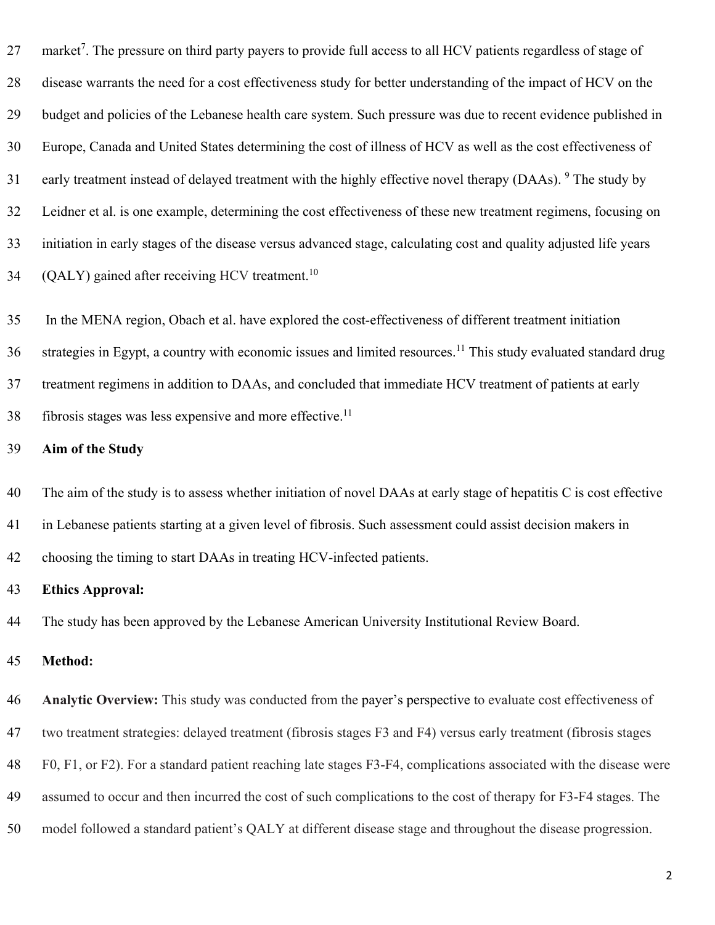27 market<sup>7</sup>. The pressure on third party payers to provide full access to all HCV patients regardless of stage of 28 disease warrants the need for a cost effectiveness study for better understanding of the impact of HCV on the 29 budget and policies of the Lebanese health care system. Such pressure was due to recent evidence published in 30 Europe, Canada and United States determining the cost of illness of HCV as well as the cost effectiveness of 31 early treatment instead of delayed treatment with the highly effective novel therapy (DAAs). <sup>9</sup> The study by 32 Leidner et al. is one example, determining the cost effectiveness of these new treatment regimens, focusing on 33 initiation in early stages of the disease versus advanced stage, calculating cost and quality adjusted life years  $( QALY)$  gained after receiving HCV treatment.<sup>10</sup>

35 In the MENA region, Obach et al. have explored the cost-effectiveness of different treatment initiation

36 strategies in Egypt, a country with economic issues and limited resources.<sup>11</sup> This study evaluated standard drug

37 treatment regimens in addition to DAAs, and concluded that immediate HCV treatment of patients at early

38 fibrosis stages was less expensive and more effective.<sup>11</sup>

## 39 **Aim of the Study**

40 The aim of the study is to assess whether initiation of novel DAAs at early stage of hepatitis C is cost effective 41 in Lebanese patients starting at a given level of fibrosis. Such assessment could assist decision makers in 42 choosing the timing to start DAAs in treating HCV-infected patients.

#### 43 **Ethics Approval:**

44 The study has been approved by the Lebanese American University Institutional Review Board.

### 45 **Method:**

46 **Analytic Overview:** This study was conducted from the payer's perspective to evaluate cost effectiveness of 47 two treatment strategies: delayed treatment (fibrosis stages F3 and F4) versus early treatment (fibrosis stages 48 F0, F1, or F2). For a standard patient reaching late stages F3-F4, complications associated with the disease were 49 assumed to occur and then incurred the cost of such complications to the cost of therapy for F3-F4 stages. The

50 model followed a standard patient's QALY at different disease stage and throughout the disease progression.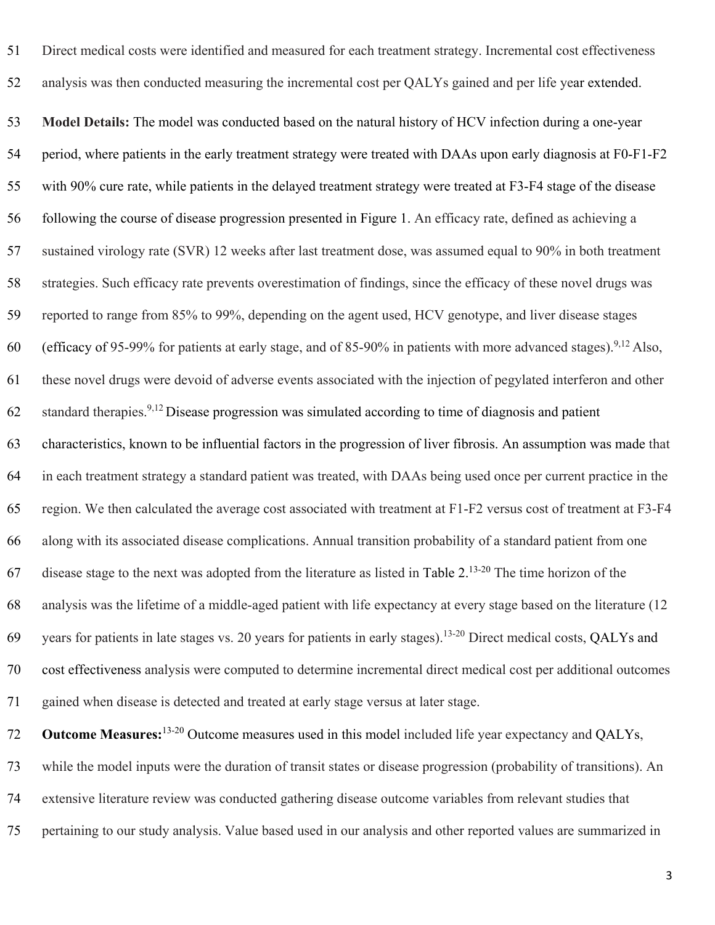51 Direct medical costs were identified and measured for each treatment strategy. Incremental cost effectiveness 52 analysis was then conducted measuring the incremental cost per QALYs gained and per life year extended. 53 **Model Details:** The model was conducted based on the natural history of HCV infection during a one-year 54 period, where patients in the early treatment strategy were treated with DAAs upon early diagnosis at F0-F1-F2 55 with 90% cure rate, while patients in the delayed treatment strategy were treated at F3-F4 stage of the disease 56 following the course of disease progression presented in Figure 1. An efficacy rate, defined as achieving a 57 sustained virology rate (SVR) 12 weeks after last treatment dose, was assumed equal to 90% in both treatment 58 strategies. Such efficacy rate prevents overestimation of findings, since the efficacy of these novel drugs was 59 reported to range from 85% to 99%, depending on the agent used, HCV genotype, and liver disease stages 60 (efficacy of 95-99% for patients at early stage, and of 85-90% in patients with more advanced stages).  $9,12$  Also, 61 these novel drugs were devoid of adverse events associated with the injection of pegylated interferon and other 62 standard therapies.<sup>9,12</sup> Disease progression was simulated according to time of diagnosis and patient 63 characteristics, known to be influential factors in the progression of liver fibrosis. An assumption was made that 64 in each treatment strategy a standard patient was treated, with DAAs being used once per current practice in the 65 region. We then calculated the average cost associated with treatment at F1-F2 versus cost of treatment at F3-F4 66 along with its associated disease complications. Annual transition probability of a standard patient from one 67 disease stage to the next was adopted from the literature as listed in Table  $2^{13-20}$  The time horizon of the 68 analysis was the lifetime of a middle-aged patient with life expectancy at every stage based on the literature (12 69 vears for patients in late stages vs. 20 years for patients in early stages).<sup>13-20</sup> Direct medical costs, QALYs and 70 cost effectiveness analysis were computed to determine incremental direct medical cost per additional outcomes 71 gained when disease is detected and treated at early stage versus at later stage. 72 **Outcome Measures:**<sup>13-20</sup> Outcome measures used in this model included life year expectancy and QALYs,

73 while the model inputs were the duration of transit states or disease progression (probability of transitions). An

- 74 extensive literature review was conducted gathering disease outcome variables from relevant studies that
- 75 pertaining to our study analysis. Value based used in our analysis and other reported values are summarized in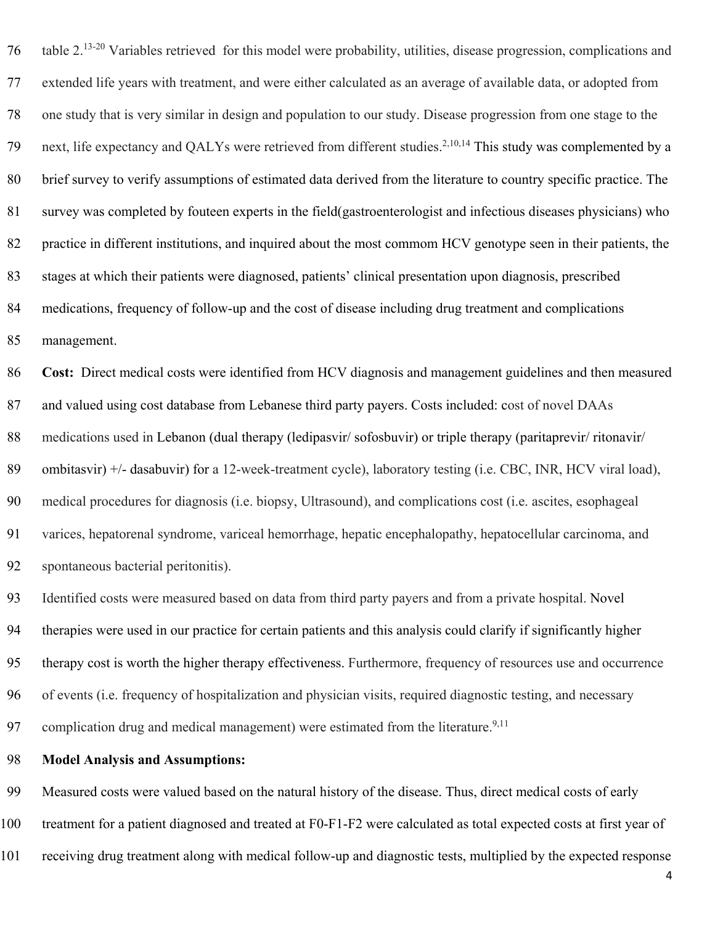table 2.13-20 76 Variables retrieved for this model were probability, utilities, disease progression, complications and 77 extended life years with treatment, and were either calculated as an average of available data, or adopted from 78 one study that is very similar in design and population to our study. Disease progression from one stage to the 79 next, life expectancy and QALYs were retrieved from different studies.<sup>2,10,14</sup> This study was complemented by a 80 brief survey to verify assumptions of estimated data derived from the literature to country specific practice. The 81 survey was completed by fouteen experts in the field(gastroenterologist and infectious diseases physicians) who 82 practice in different institutions, and inquired about the most commom HCV genotype seen in their patients, the 83 stages at which their patients were diagnosed, patients' clinical presentation upon diagnosis, prescribed 84 medications, frequency of follow-up and the cost of disease including drug treatment and complications 85 management.

86 **Cost:** Direct medical costs were identified from HCV diagnosis and management guidelines and then measured 87 and valued using cost database from Lebanese third party payers. Costs included: cost of novel DAAs 88 medications used in Lebanon (dual therapy (ledipasvir/sofosbuvir) or triple therapy (paritaprevir/ ritonavir/ 89 ombitasvir) +/- dasabuvir) for a 12-week-treatment cycle), laboratory testing (i.e. CBC, INR, HCV viral load), 90 medical procedures for diagnosis (i.e. biopsy, Ultrasound), and complications cost (i.e. ascites, esophageal 91 varices, hepatorenal syndrome, variceal hemorrhage, hepatic encephalopathy, hepatocellular carcinoma, and 92 spontaneous bacterial peritonitis).

93 Identified costs were measured based on data from third party payers and from a private hospital. Novel

94 therapies were used in our practice for certain patients and this analysis could clarify if significantly higher

95 therapy cost is worth the higher therapy effectiveness. Furthermore, frequency of resources use and occurrence

96 of events (i.e. frequency of hospitalization and physician visits, required diagnostic testing, and necessary

97 complication drug and medical management) were estimated from the literature.<sup>9,11</sup>

## 98 **Model Analysis and Assumptions:**

99 Measured costs were valued based on the natural history of the disease. Thus, direct medical costs of early 100 treatment for a patient diagnosed and treated at F0-F1-F2 were calculated as total expected costs at first year of 101 receiving drug treatment along with medical follow-up and diagnostic tests, multiplied by the expected response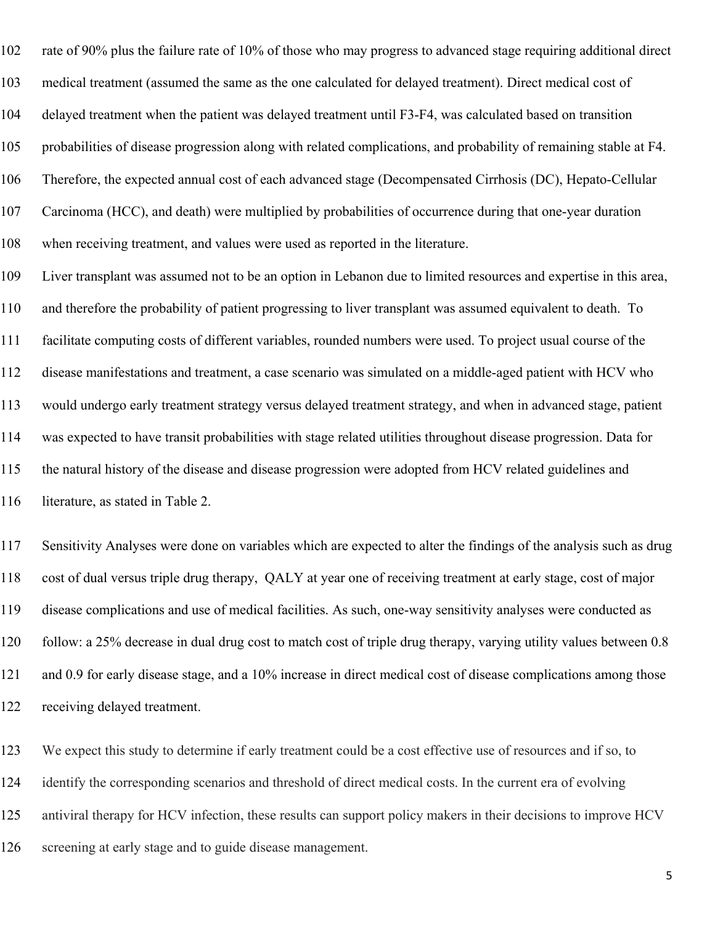102 rate of 90% plus the failure rate of 10% of those who may progress to advanced stage requiring additional direct 103 medical treatment (assumed the same as the one calculated for delayed treatment). Direct medical cost of 104 delayed treatment when the patient was delayed treatment until F3-F4, was calculated based on transition 105 probabilities of disease progression along with related complications, and probability of remaining stable at F4. 106 Therefore, the expected annual cost of each advanced stage (Decompensated Cirrhosis (DC), Hepato-Cellular 107 Carcinoma (HCC), and death) were multiplied by probabilities of occurrence during that one-year duration 108 when receiving treatment, and values were used as reported in the literature.

109 Liver transplant was assumed not to be an option in Lebanon due to limited resources and expertise in this area, 110 and therefore the probability of patient progressing to liver transplant was assumed equivalent to death. To 111 facilitate computing costs of different variables, rounded numbers were used. To project usual course of the 112 disease manifestations and treatment, a case scenario was simulated on a middle-aged patient with HCV who 113 would undergo early treatment strategy versus delayed treatment strategy, and when in advanced stage, patient 114 was expected to have transit probabilities with stage related utilities throughout disease progression. Data for 115 the natural history of the disease and disease progression were adopted from HCV related guidelines and 116 literature, as stated in Table 2.

117 Sensitivity Analyses were done on variables which are expected to alter the findings of the analysis such as drug 118 cost of dual versus triple drug therapy, QALY at year one of receiving treatment at early stage, cost of major 119 disease complications and use of medical facilities. As such, one-way sensitivity analyses were conducted as 120 follow: a 25% decrease in dual drug cost to match cost of triple drug therapy, varying utility values between 0.8 121 and 0.9 for early disease stage, and a 10% increase in direct medical cost of disease complications among those 122 receiving delayed treatment.

123 We expect this study to determine if early treatment could be a cost effective use of resources and if so, to

124 identify the corresponding scenarios and threshold of direct medical costs. In the current era of evolving

125 antiviral therapy for HCV infection, these results can support policy makers in their decisions to improve HCV

126 screening at early stage and to guide disease management.

5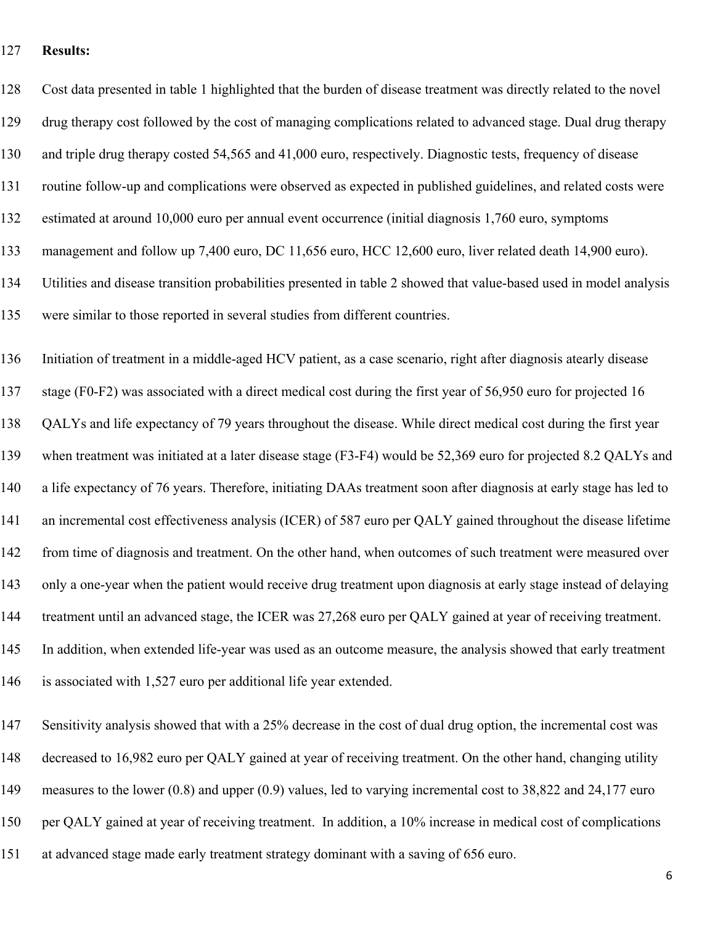### 127 **Results:**

128 Cost data presented in table 1 highlighted that the burden of disease treatment was directly related to the novel 129 drug therapy cost followed by the cost of managing complications related to advanced stage. Dual drug therapy 130 and triple drug therapy costed 54,565 and 41,000 euro, respectively. Diagnostic tests, frequency of disease 131 routine follow-up and complications were observed as expected in published guidelines, and related costs were 132 estimated at around 10,000 euro per annual event occurrence (initial diagnosis 1,760 euro, symptoms 133 management and follow up 7,400 euro, DC 11,656 euro, HCC 12,600 euro, liver related death 14,900 euro). 134 Utilities and disease transition probabilities presented in table 2 showed that value-based used in model analysis 135 were similar to those reported in several studies from different countries. 136 Initiation of treatment in a middle-aged HCV patient, as a case scenario, right after diagnosis atearly disease 137 stage (F0-F2) was associated with a direct medical cost during the first year of 56,950 euro for projected 16 138 QALYs and life expectancy of 79 years throughout the disease. While direct medical cost during the first year

139 when treatment was initiated at a later disease stage (F3-F4) would be 52,369 euro for projected 8.2 QALYs and 140 a life expectancy of 76 years. Therefore, initiating DAAs treatment soon after diagnosis at early stage has led to 141 an incremental cost effectiveness analysis (ICER) of 587 euro per QALY gained throughout the disease lifetime 142 from time of diagnosis and treatment. On the other hand, when outcomes of such treatment were measured over 143 only a one-year when the patient would receive drug treatment upon diagnosis at early stage instead of delaying 144 treatment until an advanced stage, the ICER was 27,268 euro per QALY gained at year of receiving treatment. 145 In addition, when extended life-year was used as an outcome measure, the analysis showed that early treatment

146 is associated with 1,527 euro per additional life year extended.

147 Sensitivity analysis showed that with a 25% decrease in the cost of dual drug option, the incremental cost was

148 decreased to 16,982 euro per QALY gained at year of receiving treatment. On the other hand, changing utility

149 measures to the lower (0.8) and upper (0.9) values, led to varying incremental cost to 38,822 and 24,177 euro

- 150 per QALY gained at year of receiving treatment. In addition, a 10% increase in medical cost of complications
- 151 at advanced stage made early treatment strategy dominant with a saving of 656 euro.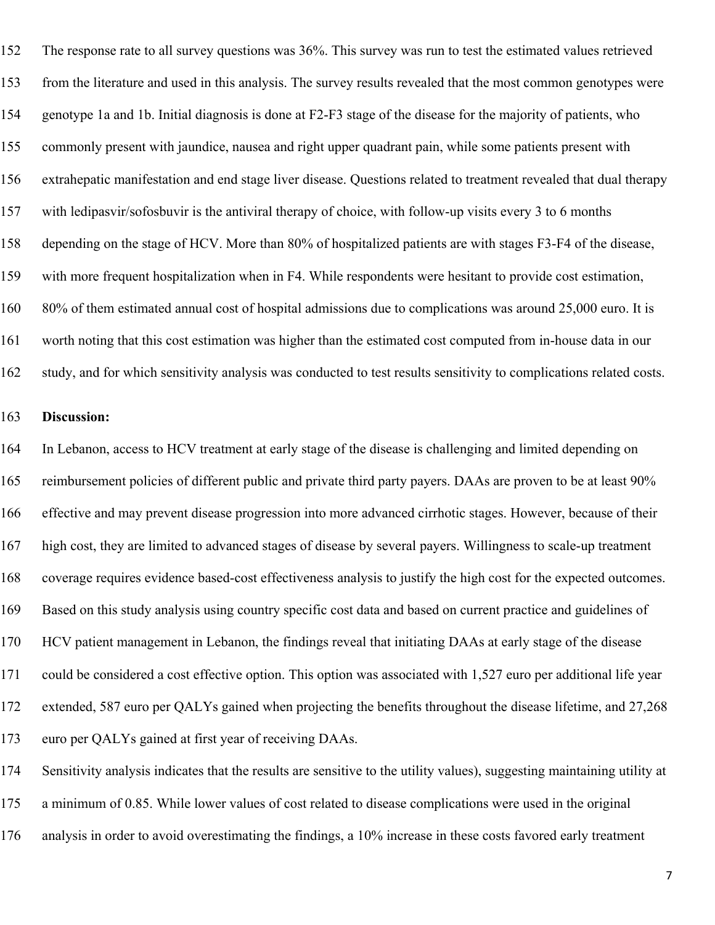152 The response rate to all survey questions was 36%. This survey was run to test the estimated values retrieved 153 from the literature and used in this analysis. The survey results revealed that the most common genotypes were 154 genotype 1a and 1b. Initial diagnosis is done at F2-F3 stage of the disease for the majority of patients, who 155 commonly present with jaundice, nausea and right upper quadrant pain, while some patients present with 156 extrahepatic manifestation and end stage liver disease. Questions related to treatment revealed that dual therapy 157 with ledipasvir/sofosbuvir is the antiviral therapy of choice, with follow-up visits every 3 to 6 months 158 depending on the stage of HCV. More than 80% of hospitalized patients are with stages F3-F4 of the disease, 159 with more frequent hospitalization when in F4. While respondents were hesitant to provide cost estimation, 160 80% of them estimated annual cost of hospital admissions due to complications was around 25,000 euro. It is 161 worth noting that this cost estimation was higher than the estimated cost computed from in-house data in our 162 study, and for which sensitivity analysis was conducted to test results sensitivity to complications related costs.

## 163 **Discussion:**

164 In Lebanon, access to HCV treatment at early stage of the disease is challenging and limited depending on 165 reimbursement policies of different public and private third party payers. DAAs are proven to be at least 90% 166 effective and may prevent disease progression into more advanced cirrhotic stages. However, because of their 167 high cost, they are limited to advanced stages of disease by several payers. Willingness to scale-up treatment 168 coverage requires evidence based-cost effectiveness analysis to justify the high cost for the expected outcomes. 169 Based on this study analysis using country specific cost data and based on current practice and guidelines of 170 HCV patient management in Lebanon, the findings reveal that initiating DAAs at early stage of the disease 171 could be considered a cost effective option. This option was associated with 1,527 euro per additional life year 172 extended, 587 euro per QALYs gained when projecting the benefits throughout the disease lifetime, and 27,268 173 euro per QALYs gained at first year of receiving DAAs.

174 Sensitivity analysis indicates that the results are sensitive to the utility values), suggesting maintaining utility at

175 a minimum of 0.85. While lower values of cost related to disease complications were used in the original

176 analysis in order to avoid overestimating the findings, a 10% increase in these costs favored early treatment

7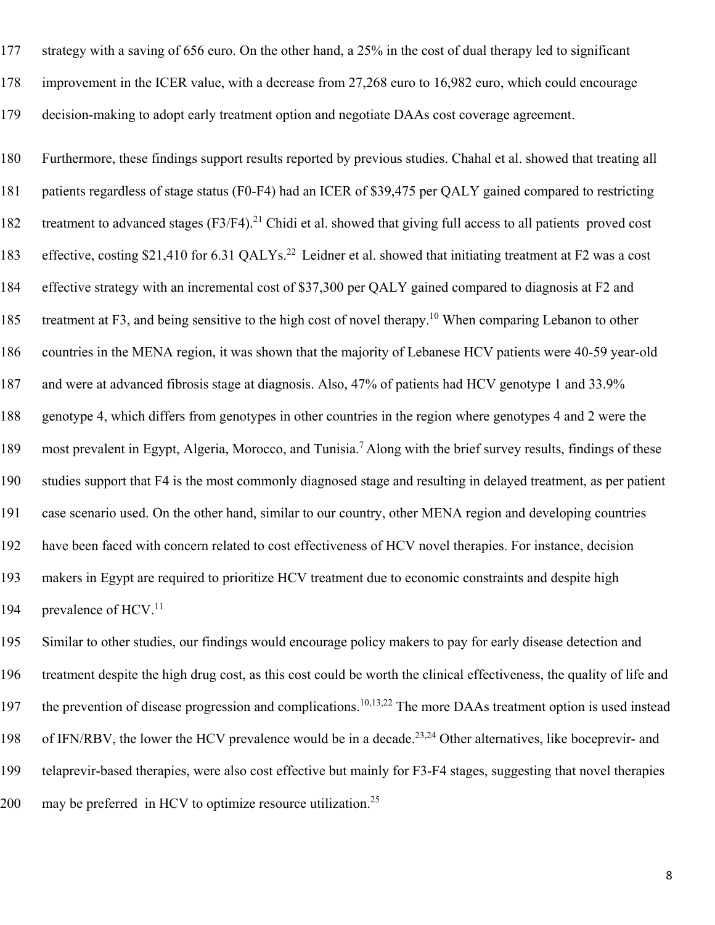177 strategy with a saving of 656 euro. On the other hand, a 25% in the cost of dual therapy led to significant 178 improvement in the ICER value, with a decrease from 27,268 euro to 16,982 euro, which could encourage 179 decision-making to adopt early treatment option and negotiate DAAs cost coverage agreement.

180 Furthermore, these findings support results reported by previous studies. Chahal et al. showed that treating all 181 patients regardless of stage status (F0-F4) had an ICER of \$39,475 per QALY gained compared to restricting 182 treatment to advanced stages (F3/F4).<sup>21</sup> Chidi et al. showed that giving full access to all patients proved cost 183 effective, costing \$21,410 for 6.31 QALYs.<sup>22</sup> Leidner et al. showed that initiating treatment at F2 was a cost 184 effective strategy with an incremental cost of \$37,300 per QALY gained compared to diagnosis at F2 and 185 treatment at F3, and being sensitive to the high cost of novel therapy.<sup>10</sup> When comparing Lebanon to other 186 countries in the MENA region, it was shown that the majority of Lebanese HCV patients were 40-59 year-old 187 and were at advanced fibrosis stage at diagnosis. Also, 47% of patients had HCV genotype 1 and 33.9% 188 genotype 4, which differs from genotypes in other countries in the region where genotypes 4 and 2 were the 189 most prevalent in Egypt, Algeria, Morocco, and Tunisia.<sup>7</sup> Along with the brief survey results, findings of these 190 studies support that F4 is the most commonly diagnosed stage and resulting in delayed treatment, as per patient 191 case scenario used. On the other hand, similar to our country, other MENA region and developing countries 192 have been faced with concern related to cost effectiveness of HCV novel therapies. For instance, decision 193 makers in Egypt are required to prioritize HCV treatment due to economic constraints and despite high 194 prevalence of  $HCV<sup>11</sup>$ 

195 Similar to other studies, our findings would encourage policy makers to pay for early disease detection and 196 treatment despite the high drug cost, as this cost could be worth the clinical effectiveness, the quality of life and 197 the prevention of disease progression and complications.<sup>10,13,22</sup> The more DAAs treatment option is used instead 198 of IFN/RBV, the lower the HCV prevalence would be in a decade.<sup>23,24</sup> Other alternatives, like boceprevir- and 199 telaprevir-based therapies, were also cost effective but mainly for F3-F4 stages, suggesting that novel therapies 200 may be preferred in HCV to optimize resource utilization.<sup>25</sup>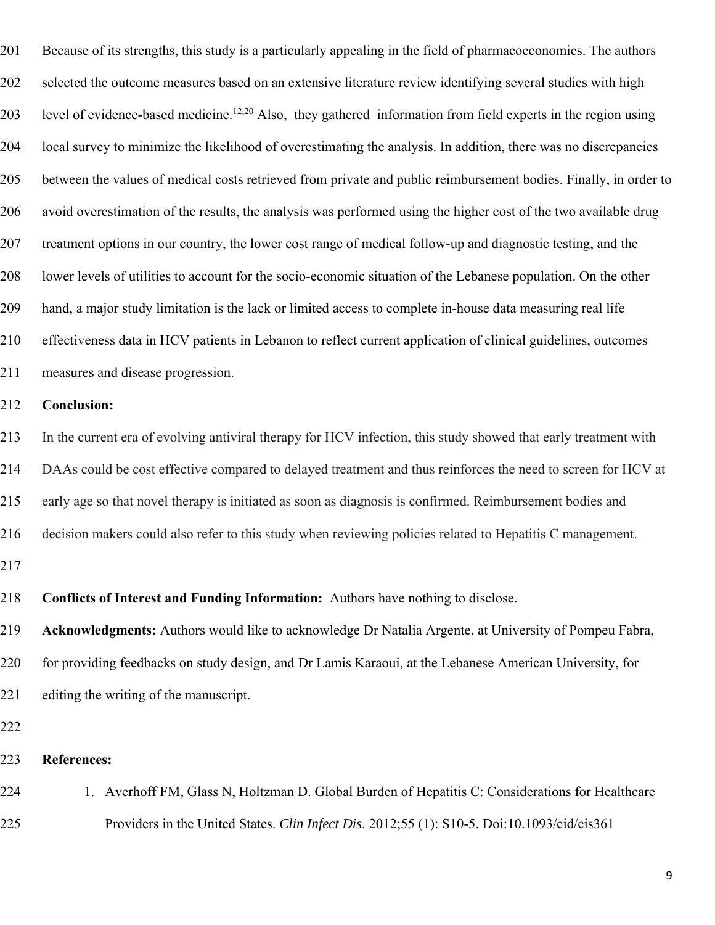201 Because of its strengths, this study is a particularly appealing in the field of pharmacoeconomics. The authors 202 selected the outcome measures based on an extensive literature review identifying several studies with high 203 level of evidence-based medicine.<sup>12,20</sup> Also, they gathered information from field experts in the region using 204 local survey to minimize the likelihood of overestimating the analysis. In addition, there was no discrepancies 205 between the values of medical costs retrieved from private and public reimbursement bodies. Finally, in order to 206 avoid overestimation of the results, the analysis was performed using the higher cost of the two available drug 207 treatment options in our country, the lower cost range of medical follow-up and diagnostic testing, and the 208 lower levels of utilities to account for the socio-economic situation of the Lebanese population. On the other 209 hand, a major study limitation is the lack or limited access to complete in-house data measuring real life 210 effectiveness data in HCV patients in Lebanon to reflect current application of clinical guidelines, outcomes 211 measures and disease progression. 212 **Conclusion:** 213 In the current era of evolving antiviral therapy for HCV infection, this study showed that early treatment with 214 DAAs could be cost effective compared to delayed treatment and thus reinforces the need to screen for HCV at 215 early age so that novel therapy is initiated as soon as diagnosis is confirmed. Reimbursement bodies and 216 decision makers could also refer to this study when reviewing policies related to Hepatitis C management. 217 218 **Conflicts of Interest and Funding Information:** Authors have nothing to disclose. 219 **Acknowledgments:** Authors would like to acknowledge Dr Natalia Argente, at University of Pompeu Fabra, 220 for providing feedbacks on study design, and Dr Lamis Karaoui, at the Lebanese American University, for 221 editing the writing of the manuscript. 222 223 **References:**  224 1. Averhoff FM, Glass N, Holtzman D. Global Burden of Hepatitis C: Considerations for Healthcare 225 Providers in the United States. *Clin Infect Dis*. 2012;55 (1): S10-5. Doi:10.1093/cid/cis361

9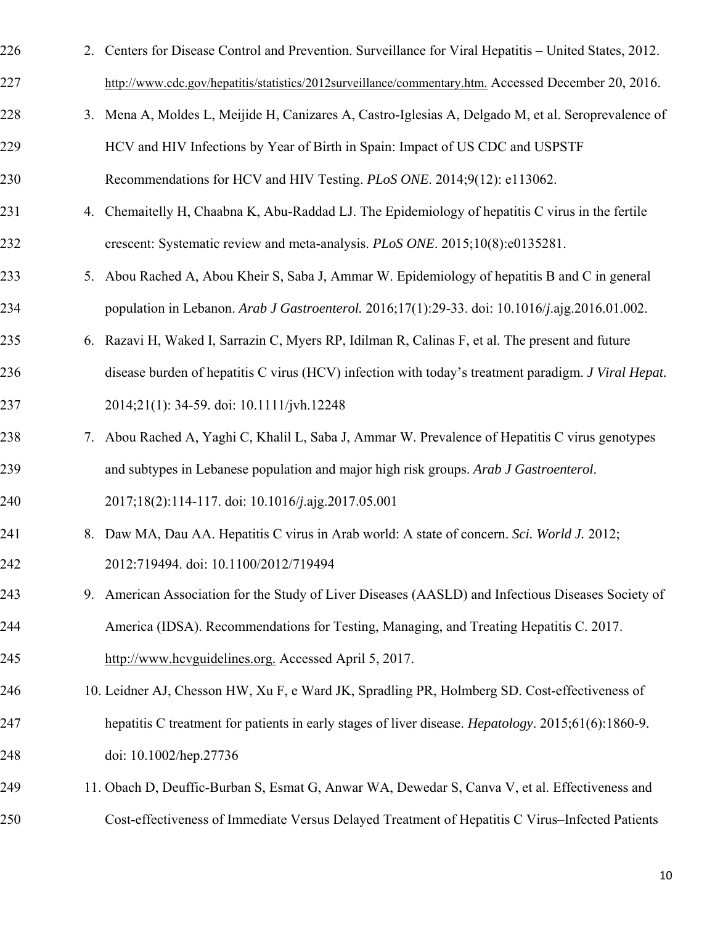| 226 |    | 2. Centers for Disease Control and Prevention. Surveillance for Viral Hepatitis - United States, 2012.      |
|-----|----|-------------------------------------------------------------------------------------------------------------|
| 227 |    | http://www.cdc.gov/hepatitis/statistics/2012surveillance/commentary.htm. Accessed December 20, 2016.        |
| 228 | 3. | Mena A, Moldes L, Meijide H, Canizares A, Castro-Iglesias A, Delgado M, et al. Seroprevalence of            |
| 229 |    | HCV and HIV Infections by Year of Birth in Spain: Impact of US CDC and USPSTF                               |
| 230 |    | Recommendations for HCV and HIV Testing. PLoS ONE. 2014;9(12): e113062.                                     |
| 231 | 4. | Chemaitelly H, Chaabna K, Abu-Raddad LJ. The Epidemiology of hepatitis C virus in the fertile               |
| 232 |    | crescent: Systematic review and meta-analysis. PLoS ONE. 2015;10(8):e0135281.                               |
| 233 | 5. | Abou Rached A, Abou Kheir S, Saba J, Ammar W. Epidemiology of hepatitis B and C in general                  |
| 234 |    | population in Lebanon. Arab J Gastroenterol. 2016;17(1):29-33. doi: 10.1016/j.ajg.2016.01.002.              |
| 235 | 6. | Razavi H, Waked I, Sarrazin C, Myers RP, Idilman R, Calinas F, et al. The present and future                |
| 236 |    | disease burden of hepatitis C virus (HCV) infection with today's treatment paradigm. J Viral Hepat.         |
| 237 |    | 2014;21(1): 34-59. doi: 10.1111/jvh.12248                                                                   |
| 238 |    | 7. Abou Rached A, Yaghi C, Khalil L, Saba J, Ammar W. Prevalence of Hepatitis C virus genotypes             |
| 239 |    | and subtypes in Lebanese population and major high risk groups. Arab J Gastroenterol.                       |
| 240 |    | 2017;18(2):114-117. doi: 10.1016/j.ajg.2017.05.001                                                          |
| 241 | 8. | Daw MA, Dau AA. Hepatitis C virus in Arab world: A state of concern. Sci. World J. 2012;                    |
| 242 |    | 2012:719494. doi: 10.1100/2012/719494                                                                       |
| 243 | 9. | American Association for the Study of Liver Diseases (AASLD) and Infectious Diseases Society of             |
| 244 |    | America (IDSA). Recommendations for Testing, Managing, and Treating Hepatitis C. 2017.                      |
| 245 |    | http://www.hcvguidelines.org. Accessed April 5, 2017.                                                       |
| 246 |    | 10. Leidner AJ, Chesson HW, Xu F, e Ward JK, Spradling PR, Holmberg SD. Cost-effectiveness of               |
| 247 |    | hepatitis C treatment for patients in early stages of liver disease. <i>Hepatology</i> . 2015;61(6):1860-9. |
| 248 |    | doi: 10.1002/hep.27736                                                                                      |
| 249 |    | 11. Obach D, Deuffic-Burban S, Esmat G, Anwar WA, Dewedar S, Canva V, et al. Effectiveness and              |
| 250 |    | Cost-effectiveness of Immediate Versus Delayed Treatment of Hepatitis C Virus-Infected Patients             |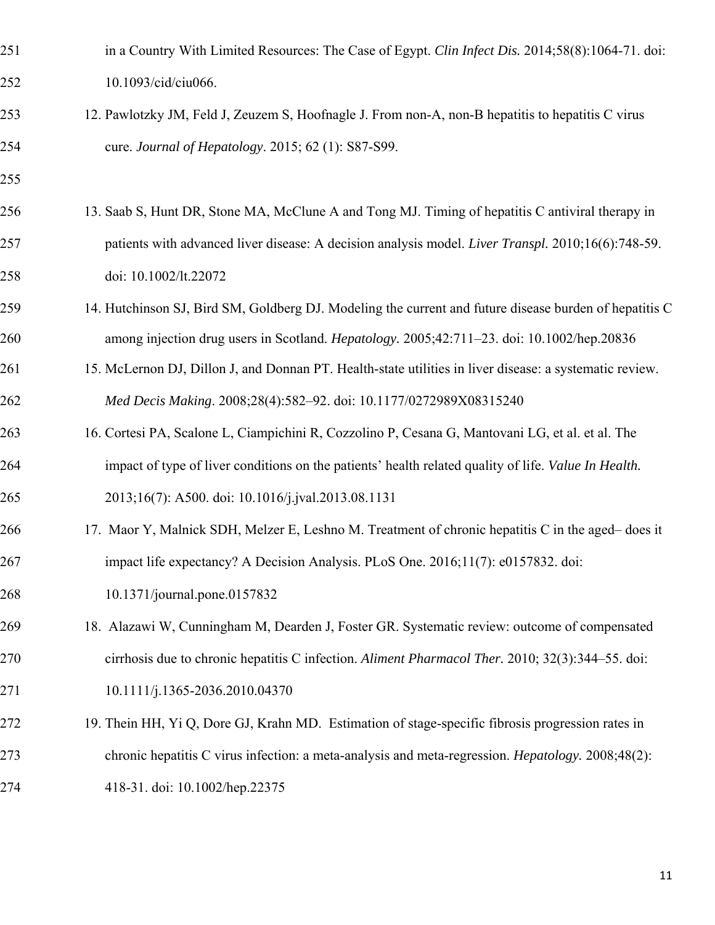| 251 | in a Country With Limited Resources: The Case of Egypt. Clin Infect Dis. 2014;58(8):1064-71. doi:         |
|-----|-----------------------------------------------------------------------------------------------------------|
| 252 | 10.1093/cid/ciu066.                                                                                       |
| 253 | 12. Pawlotzky JM, Feld J, Zeuzem S, Hoofnagle J. From non-A, non-B hepatitis to hepatitis C virus         |
| 254 | cure. Journal of Hepatology. 2015; 62 (1): S87-S99.                                                       |
| 255 |                                                                                                           |
| 256 | 13. Saab S, Hunt DR, Stone MA, McClune A and Tong MJ. Timing of hepatitis C antiviral therapy in          |
| 257 | patients with advanced liver disease: A decision analysis model. <i>Liver Transpl.</i> 2010;16(6):748-59. |
| 258 | doi: 10.1002/lt.22072                                                                                     |
| 259 | 14. Hutchinson SJ, Bird SM, Goldberg DJ. Modeling the current and future disease burden of hepatitis C    |
| 260 | among injection drug users in Scotland. Hepatology. 2005;42:711-23. doi: 10.1002/hep.20836                |
| 261 | 15. McLernon DJ, Dillon J, and Donnan PT. Health-state utilities in liver disease: a systematic review.   |
| 262 | Med Decis Making. 2008;28(4):582-92. doi: 10.1177/0272989X08315240                                        |
| 263 | 16. Cortesi PA, Scalone L, Ciampichini R, Cozzolino P, Cesana G, Mantovani LG, et al. et al. The          |
| 264 | impact of type of liver conditions on the patients' health related quality of life. Value In Health.      |
| 265 | 2013;16(7): A500. doi: 10.1016/j.jval.2013.08.1131                                                        |
| 266 | 17. Maor Y, Malnick SDH, Melzer E, Leshno M. Treatment of chronic hepatitis C in the aged–does it         |
| 267 | impact life expectancy? A Decision Analysis. PLoS One. 2016;11(7): e0157832. doi:                         |
| 268 | 10.1371/journal.pone.0157832                                                                              |
| 269 | 18. Alazawi W, Cunningham M, Dearden J, Foster GR. Systematic review: outcome of compensated              |
| 270 | cirrhosis due to chronic hepatitis C infection. Aliment Pharmacol Ther. 2010; 32(3):344–55. doi:          |
| 271 | 10.1111/j.1365-2036.2010.04370                                                                            |
| 272 | 19. Thein HH, Yi Q, Dore GJ, Krahn MD. Estimation of stage-specific fibrosis progression rates in         |
| 273 | chronic hepatitis C virus infection: a meta-analysis and meta-regression. Hepatology. 2008;48(2):         |
| 274 | 418-31. doi: 10.1002/hep.22375                                                                            |
|     |                                                                                                           |